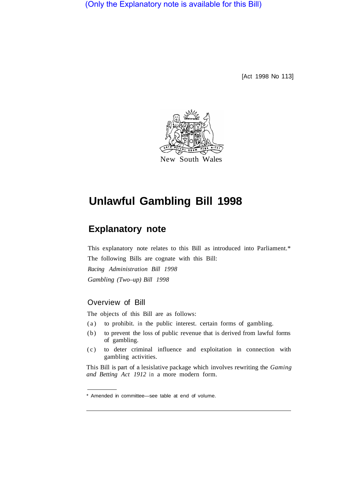(Only the Explanatory note is available for this Bill)

[Act 1998 No 113]



# **Unlawful Gambling Bill 1998**

# **Explanatory note**

This explanatory note relates to this Bill as introduced into Parliament.\* The following Bills are cognate with this Bill: *Racing Administration Bill 1998 Gambling (Two–up) Bill 1998* 

# Overview of Bill

The objects of this Bill are as follows:

- (a) to prohibit. in the public interest. certain forms of gambling.
- (b) to prevent the loss of public revenue that is derived from lawful forms of gambling.
- (c) to deter criminal influence and exploitation in connection with gambling activities.

This Bill is part of a lesislative package which involves rewriting the *Gaming and Betting Act 1912* in a more modern form.

<sup>\*</sup> Amended in committee—see table at end of volume.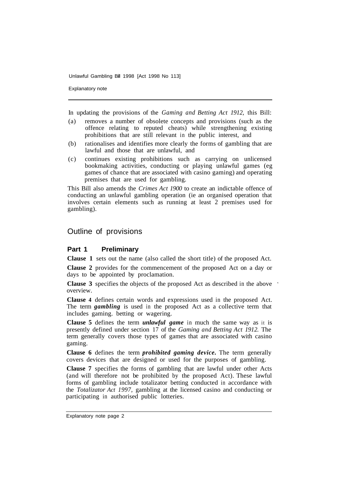Explanatory note

In updating the provisions of the *Gaming and Betting Act 1912,* this Bill:

- (a) removes a number of obsolete concepts and provisions (such as the offence relating to reputed cheats) while strengthening existing prohibitions that are still relevant in the public interest, and
- (b) rationalises and identifies more clearly the forms of gambling that are lawful and those that are unlawful, and
- (c) continues existing prohibitions such as carrying on unlicensed bookmaking activities, conducting or playing unlawful games (eg games of chance that are associated with casino gaming) and operating premises that are used for gambling.

This Bill also amends the *Crimes Act 1900* to create an indictable offence of conducting an unlawful gambling operation (ie an organised operation that involves certain elements such as running at least 2 premises used for gambling).

# Outline of provisions

## **Part 1 Preliminary**

**Clause 1** sets out the name (also called the short title) of the proposed Act.

**Clause 2** provides for the commencement of the proposed Act on a day or days to be appointed by proclamation.

**Clause 3** specifies the objects of the proposed Act as described in the above overview.

**Clause 4** defines certain words and expressions used in the proposed Act. The term *gambling* is used in the proposed Act as a collective term that includes gaming. betting or wagering.

**Clause 5** defines the term *unlawful game* in much the same way as it is presently defined under section 17 of the *Gaming and Betting Act 1912.* The term generally covers those types of games that are associated with casino gaming.

**Clause 6** defines the term *prohibited gaming device.* The term generally covers devices that are designed or used for the purposes of gambling.

**Clause 7** specifies the forms of gambling that are lawful under other Acts (and will therefore not be prohibited by the proposed Act). These lawful forms of gambling include totalizator betting conducted in accordance with the *Totalizator Act 1997,* gambling at the licensed casino and conducting or participating in authorised public lotteries.

Explanatory note page 2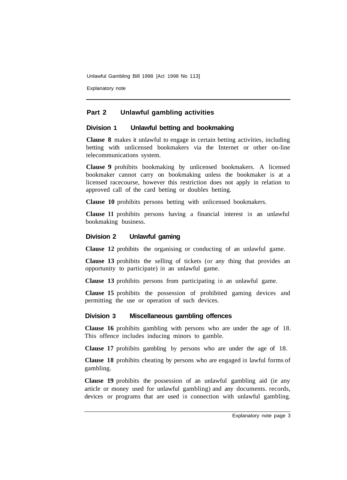Explanatory note

# **Part 2 Unlawful gambling activities**

#### **Division 1 Unlawful betting and bookmaking**

**Clause 8** makes it unlawful to engage in certain betting activities, including betting with unlicensed bookmakers via the Internet or other on-line telecommunications system.

**Clause 9** prohibits bookmaking by unlicensed bookmakers. A licensed bookmaker cannot carry on bookmaking unless the bookmaker is at a licensed racecourse, however this restriction does not apply in relation to approved call of the card betting or doubles betting.

**Clause 10** prohibits persons betting with unlicensed bookmakers.

**Clause 11** prohibits persons having a financial interest in an unlawful bookmaking business.

#### **Division 2 Unlawful gaming**

**Clause 12** prohibits the organising or conducting of an unlawful game.

**Clause 13** prohibits the selling of tickets (or any thing that provides an opportunity to participate) in an unlawful game.

**Clause 13** prohibits persons from participating in an unlawful game.

**Clause 15** prohibits the possession of prohibited gaming devices and permitting the use or operation of such devices.

#### **Division 3 Miscellaneous gambling offences**

**Clause 16** prohibits gambling with persons who are under the age of 18. This offence includes inducing minors to gamble.

**Clause 17** prohibits gambling by persons who are under the age of 18.

**Clause 18** prohibits cheating by persons who are engaged in lawful forms of gambling.

**Clause 19** prohibits the possession of an unlawful gambling aid (ie any article or money used for unlawful gambling) and any documents. records, devices or programs that are used in connection with unlawful gambling.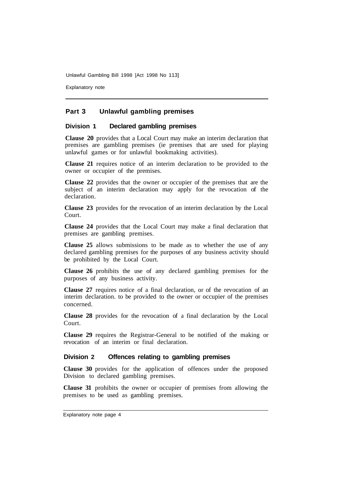Explanatory note

## **Part 3 Unlawful gambling premises**

#### **Division 1 Declared gambling premises**

**Clause 20** provides that a Local Court may make an interim declaration that premises are gambling premises (ie premises that are used for playing unlawful games or for unlawful bookmaking activities).

**Clause 21** requires notice of an interim declaration to be provided to the owner or occupier of the premises.

**Clause 22** provides that the owner or occupier of the premises that are the subject of an interim declaration may apply for the revocation of the declaration.

**Clause 23** provides for the revocation of an interim declaration by the Local Court.

**Clause 24** provides that the Local Court may make a final declaration that premises are gambling premises.

**Clause 25** allows submissions to be made as to whether the use of any declared gambling premises for the purposes of any business activity should be prohibited by the Local Court.

**Clause 26** prohibits the use of any declared gambling premises for the purposes of any business activity.

**Clause 27** requires notice of a final declaration, or of the revocation of an interim declaration. to be provided to the owner or occupier of the premises concerned.

**Clause 28** provides for the revocation of a final declaration by the Local Court.

**Clause 29** requires the Registrar-General to be notified of the making or revocation of an interim or final declaration.

#### **Division 2 Offences relating to gambling premises**

**Clause 30** provides for the application of offences under the proposed Division to declared gambling premises.

**Clause 31** prohibits the owner or occupier of premises from allowing the premises to be used as gambling premises.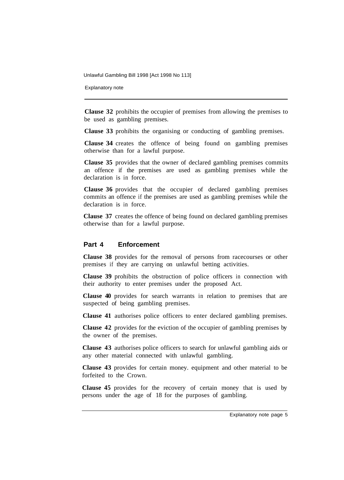Explanatory note

**Clause 32** prohibits the occupier of premises from allowing the premises to be used as gambling premises.

**Clause 33** prohibits the organising or conducting of gambling premises.

**Clause 34** creates the offence of being found on gambling premises otherwise than for a lawful purpose.

**Clause 35** provides that the owner of declared gambling premises commits an offence if the premises are used as gambling premises while the declaration is in force.

**Clause 36** provides that the occupier of declared gambling premises commits an offence if the premises are used as gambling premises while the declaration is in force.

**Clause 37** creates the offence of being found on declared gambling premises otherwise than for a lawful purpose.

#### **Part 4 Enforcement**

**Clause 38** provides for the removal of persons from racecourses or other premises if they are carrying on unlawful betting activities.

**Clause 39** prohibits the obstruction of police officers in connection with their authority to enter premises under the proposed Act.

**Clause 40** provides for search warrants in relation to premises that are suspected of being gambling premises.

**Clause 41** authorises police officers to enter declared gambling premises.

**Clause 42** provides for the eviction of the occupier of gambling premises by the owner of the premises.

**Clause 43** authorises police officers to search for unlawful gambling aids or any other material connected with unlawful gambling.

**Clause 43** provides for certain money. equipment and other material to be forfeited to the Crown.

**Clause 45** provides for the recovery of certain money that is used by persons under the age of 18 for the purposes of gambling.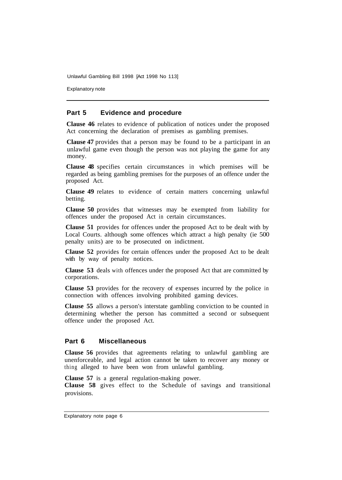Explanatory note

#### **Part 5 Evidence and procedure**

**Clause 46** relates to evidence of publication of notices under the proposed Act concerning the declaration of premises as gambling premises.

**Clause 47** provides that a person may be found to be a participant in an unlawful game even though the person was not playing the game for any money.

**Clause 48** specifies certain circumstances in which premises will be regarded as being gambling premises for the purposes of an offence under the proposed Act.

**Clause 49** relates to evidence of certain matters concerning unlawful betting.

**Clause 50** provides that witnesses may be exempted from liability for offences under the proposed Act in certain circumstances.

**Clause 51** provides for offences under the proposed Act to be dealt with by Local Courts. although some offences which attract a high penalty (ie 500 penalty units) are to be prosecuted on indictment.

**Clause 52** provides for certain offences under the proposed Act to be dealt with by way of penalty notices.

**Clause 53** deals with offences under the proposed Act that are committed by corporations.

**Clause 53** provides for the recovery of expenses incurred by the police in connection with offences involving prohibited gaming devices.

**Clause 55** allows a person's interstate gambling conviction to be counted in determining whether the person has committed a second or subsequent offence under the proposed Act.

#### **Part 6 Miscellaneous**

**Clause 56** provides that agreements relating to unlawful gambling are unenforceable, and legal action cannot be taken to recover any money or thing alleged to have been won from unlawful gambling.

**Clause 57** is a general regulation-making power.

**Clause 58** gives effect to the Schedule of savings and transitional provisions.

Explanatory note page 6